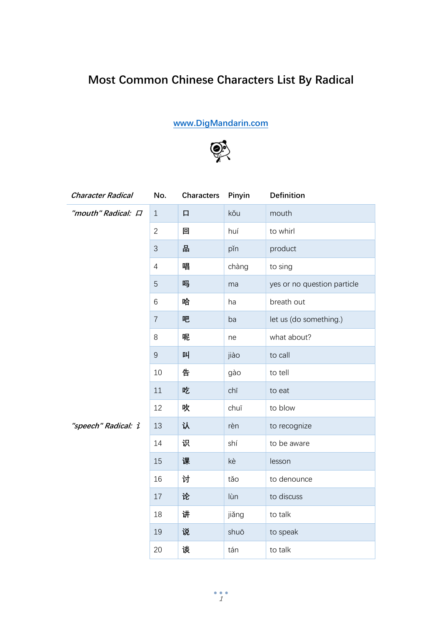## Most Common Chinese Characters List By Radical

www.DigMandarin.com



| <b>Character Radical</b> | No.            | <b>Characters</b> | Pinyin | <b>Definition</b>           |
|--------------------------|----------------|-------------------|--------|-----------------------------|
| "mouth" Radical: $\Box$  | $\mathbf{1}$   | 口                 | kǒu    | mouth                       |
|                          | $\overline{2}$ | 回                 | huí    | to whirl                    |
|                          | $\mathfrak{Z}$ | 땀                 | pǐn    | product                     |
|                          | $\overline{4}$ | 唱                 | chàng  | to sing                     |
|                          | 5              | 吗                 | ma     | yes or no question particle |
|                          | 6              | 哈                 | ha     | breath out                  |
|                          | $\overline{7}$ | 吧                 | ba     | let us (do something.)      |
|                          | 8              | 呢                 | ne     | what about?                 |
|                          | $\overline{9}$ | 叫                 | jiào   | to call                     |
|                          | 10             | 告                 | gào    | to tell                     |
|                          | 11             | 吃                 | chī    | to eat                      |
|                          | 12             | 吹                 | chuī   | to blow                     |
| "speech" Radical: i      | 13             | 认                 | rèn    | to recognize                |
|                          | 14             | 识                 | shí    | to be aware                 |
|                          | 15             | 课                 | kè     | lesson                      |
|                          | 16             | 讨                 | tǎo    | to denounce                 |
|                          | 17             | 论                 | lùn    | to discuss                  |
|                          | 18             | 讲                 | jiǎng  | to talk                     |
|                          | 19             | 说                 | shuō   | to speak                    |
|                          | 20             | 谈                 | tán    | to talk                     |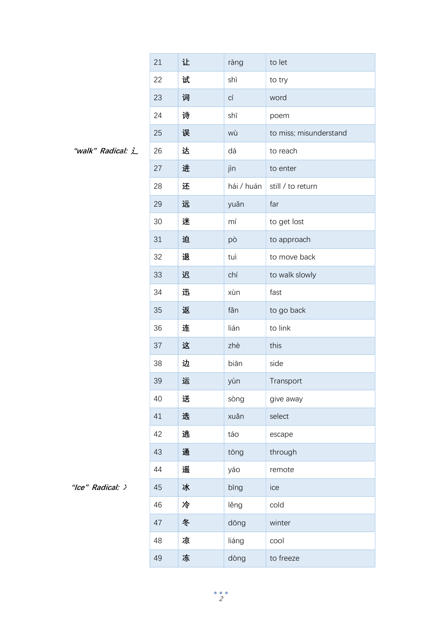|                   | 21 | 让 | ràng       | to let                 |
|-------------------|----|---|------------|------------------------|
|                   | 22 | 试 | shì        | to try                 |
|                   | 23 | 词 | СÍ         | word                   |
|                   | 24 | 诗 | shī        | poem                   |
|                   | 25 | 误 | wù         | to miss; misunderstand |
| "walk" Radical: L | 26 | 达 | dá         | to reach               |
|                   | 27 | 进 | jìn        | to enter               |
|                   | 28 | 还 | hái / huán | still / to return      |
|                   | 29 | 远 | yuǎn       | far                    |
|                   | 30 | 迷 | mí         | to get lost            |
|                   | 31 | 迫 | pò         | to approach            |
|                   | 32 | 退 | tuì        | to move back           |
|                   | 33 | 迟 | chí        | to walk slowly         |
|                   | 34 | 迅 | xùn        | fast                   |
|                   | 35 | 返 | fǎn        | to go back             |
|                   | 36 | 连 | lián       | to link                |
|                   | 37 | 这 | zhè        | this                   |
|                   | 38 | 边 | biān       | side                   |
|                   | 39 | 运 | yùn        | Transport              |
|                   | 40 | 送 | sòng       | give away              |
|                   | 41 | 选 | xuǎn       | select                 |
|                   | 42 | 逃 | táo        | escape                 |
|                   | 43 | 通 | tōng       | through                |
|                   | 44 | 遥 | yáo        | remote                 |
| "Ice" Radical: >  | 45 | 冰 | bīng       | ice                    |
|                   | 46 | 冷 | lěng       | cold                   |
|                   | 47 | 冬 | dōng       | winter                 |
|                   | 48 | 凉 | liáng      | cool                   |
|                   | 49 | 冻 | dòng       | to freeze              |

<sup>&</sup>quot;walk" Radical: 辶

<sup>&</sup>quot;Ice" Radical: >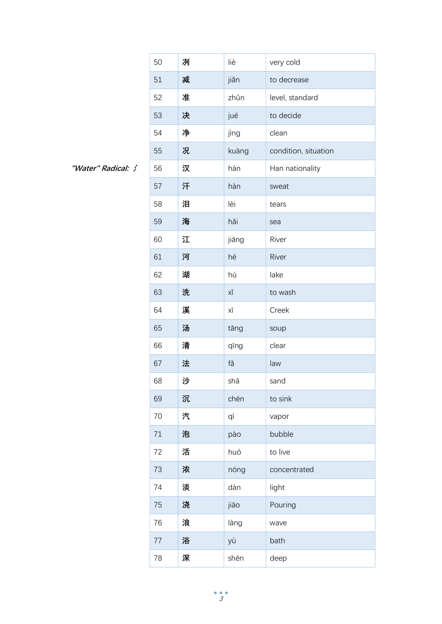|                    | 50 | 冽 | liè   | very cold            |
|--------------------|----|---|-------|----------------------|
|                    | 51 | 减 | jiǎn  | to decrease          |
|                    | 52 | 准 | zhǔn  | level, standard      |
|                    | 53 | 决 | jué   | to decide            |
|                    | 54 | 净 | jìng  | clean                |
|                    | 55 | 况 | kuàng | condition, situation |
| "Water" Radical: > | 56 | 汉 | hàn   | Han nationality      |
|                    | 57 | 汗 | hàn   | sweat                |
|                    | 58 | 泪 | lèi   | tears                |
|                    | 59 | 海 | hǎi   | sea                  |
|                    | 60 | 江 | jiāng | River                |
|                    | 61 | 河 | hé    | River                |
|                    | 62 | 湖 | hú    | lake                 |
|                    | 63 | 洗 | ХĬ    | to wash              |
|                    | 64 | 溪 | ΧĪ    | Creek                |
|                    | 65 | 汤 | tāng  | soup                 |
|                    | 66 | 清 | qīng  | clear                |
|                    | 67 | 法 | fǎ    | law                  |
|                    | 68 | 沙 | shā   | sand                 |
|                    | 69 | 沉 | chén  | to sink              |
|                    | 70 | 汽 | qì    | vapor                |
|                    | 71 | 泡 | pào   | bubble               |
|                    | 72 | 活 | huó   | to live              |
|                    | 73 | 浓 | nóng  | concentrated         |
|                    | 74 | 淡 | dàn   | light                |
|                    | 75 | 浇 | jiāo  | Pouring              |
|                    | 76 | 浪 | làng  | wave                 |
|                    | 77 | 浴 | yù    | bath                 |
|                    | 78 | 深 | shēn  | deep                 |

"Water" Radical: 氵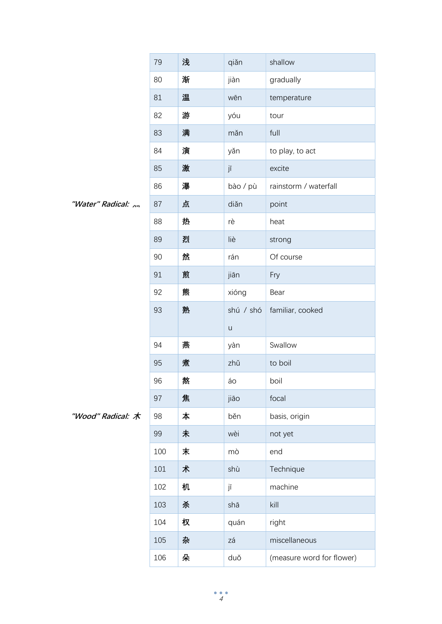|                      | 79  | 浅 | qiǎn      | shallow                   |
|----------------------|-----|---|-----------|---------------------------|
|                      | 80  | 渐 | jiàn      | gradually                 |
|                      | 81  | 温 | wēn       | temperature               |
|                      | 82  | 游 | yóu       | tour                      |
|                      | 83  | 满 | mǎn       | full                      |
|                      | 84  | 演 | yǎn       | to play, to act           |
|                      | 85  | 激 | jī        | excite                    |
|                      | 86  | 瀑 | bào / pù  | rainstorm / waterfall     |
| "Water" Radical: , , | 87  | 点 | diǎn      | point                     |
|                      | 88  | 热 | rè        | heat                      |
|                      | 89  | 烈 | liè       | strong                    |
|                      | 90  | 然 | rán       | Of course                 |
|                      | 91  | 煎 | jiān      | Fry                       |
|                      | 92  | 熊 | xióng     | Bear                      |
|                      | 93  | 熟 | shú / shó | familiar, cooked          |
|                      |     |   | $\sf U$   |                           |
|                      | 94  | 燕 | yàn       | Swallow                   |
|                      | 95  | 煮 | zhǔ       | to boil                   |
|                      | 96  | 熬 | áo        | boil                      |
|                      | 97  | 焦 | jiāo      | focal                     |
| "Wood" Radical: 木    | 98  | 本 | běn       | basis, origin             |
|                      | 99  | 未 | wèi       | not yet                   |
|                      | 100 | 末 | mò        | end                       |
|                      | 101 | 术 | shù       | Technique                 |
|                      | 102 | 机 | jī        | machine                   |
|                      | 103 | 杀 | shā       | kill                      |
|                      | 104 | 权 | quán      | right                     |
|                      | 105 | 杂 | zá        | miscellaneous             |
|                      | 106 | 朵 | duǒ       | (measure word for flower) |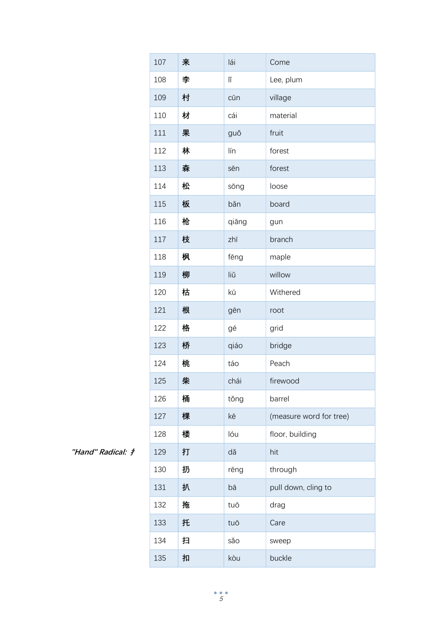|                   | 107 | 来 | lái   | Come                    |
|-------------------|-----|---|-------|-------------------------|
|                   | 108 | 李 | lĭ    | Lee, plum               |
|                   | 109 | 村 | cūn   | village                 |
|                   | 110 | 材 | cái   | material                |
|                   | 111 | 果 | guǒ   | fruit                   |
|                   | 112 | 林 | lín   | forest                  |
|                   | 113 | 森 | sēn   | forest                  |
|                   | 114 | 松 | sōng  | loose                   |
|                   | 115 | 板 | băn   | board                   |
|                   | 116 | 枪 | qiāng | gun                     |
|                   | 117 | 枝 | zhī   | branch                  |
|                   | 118 | 枫 | fēng  | maple                   |
|                   | 119 | 柳 | liŭ   | willow                  |
|                   | 120 | 枯 | kū    | Withered                |
|                   | 121 | 根 | gēn   | root                    |
|                   | 122 | 格 | gé    | grid                    |
|                   | 123 | 桥 | qiáo  | bridge                  |
|                   | 124 | 桃 | táo   | Peach                   |
|                   | 125 | 柴 | chái  | firewood                |
|                   | 126 | 桶 | tǒng  | barrel                  |
|                   | 127 | 棵 | kē    | (measure word for tree) |
|                   | 128 | 楼 | lóu   | floor, building         |
| "Hand" Radical: # | 129 | 打 | dǎ    | hit                     |
|                   | 130 | 扔 | rēng  | through                 |
|                   | 131 | 扒 | bā    | pull down, cling to     |
|                   | 132 | 拖 | tuō   | drag                    |
|                   | 133 | 托 | tuō   | Care                    |
|                   | 134 | 扫 | sǎo   | sweep                   |
|                   | 135 | 扣 | kòu   | buckle                  |

"Hand" Radical: 扌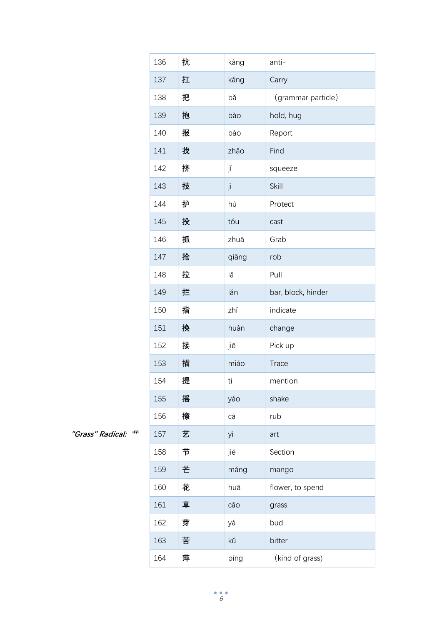|                       | 136 | 抗 | kàng  | anti-              |
|-----------------------|-----|---|-------|--------------------|
|                       | 137 | 扛 | káng  | Carry              |
|                       | 138 | 把 | bǎ    | (grammar particle) |
|                       | 139 | 抱 | bào   | hold, hug          |
|                       | 140 | 报 | bào   | Report             |
|                       | 141 | 找 | zhǎo  | Find               |
|                       | 142 | 挤 | jĭ    | squeeze            |
|                       | 143 | 技 | jì    | Skill              |
|                       | 144 | 护 | hù    | Protect            |
|                       | 145 | 投 | tóu   | cast               |
|                       | 146 | 抓 | zhuā  | Grab               |
|                       | 147 | 抢 | qiǎng | rob                |
|                       | 148 | 拉 | lā    | Pull               |
|                       | 149 | 拦 | lán   | bar, block, hinder |
|                       | 150 | 指 | zhǐ   | indicate           |
|                       | 151 | 换 | huàn  | change             |
|                       | 152 | 接 | jiē   | Pick up            |
|                       | 153 | 描 | miáo  | <b>Trace</b>       |
|                       | 154 | 提 | tí    | mention            |
|                       | 155 | 摇 | yáo   | shake              |
|                       | 156 | 擦 | cā    | rub                |
| #<br>"Grass" Radical: | 157 | 艺 | yì    | art                |
|                       | 158 | 节 | jié   | Section            |
|                       | 159 | 芒 | máng  | mango              |
|                       | 160 | 花 | huā   | flower, to spend   |
|                       | 161 | 草 | cǎo   | grass              |
|                       | 162 | 芽 | yá    | bud                |
|                       | 163 | 苦 | kŭ    | bitter             |
|                       | 164 | 萍 | píng  | (kind of grass)    |

"Grass" Radical: <sup>++</sup>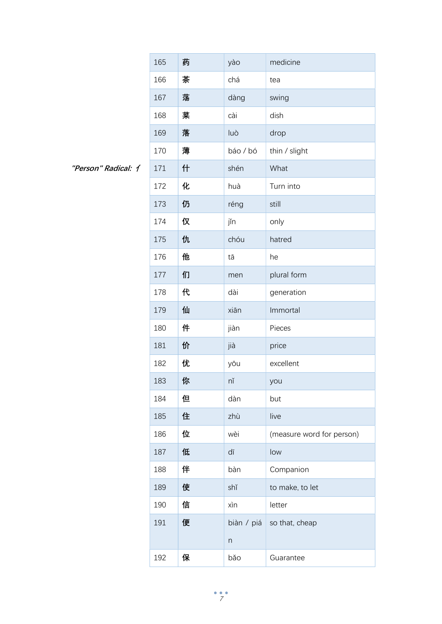|                     | 165 | 药 | yào                       | medicine                  |
|---------------------|-----|---|---------------------------|---------------------------|
|                     | 166 | 茶 | chá                       | tea                       |
|                     | 167 | 荡 | dàng                      | swing                     |
|                     | 168 | 菜 | cài                       | dish                      |
|                     | 169 | 落 | luò                       | drop                      |
|                     | 170 | 薄 | báo / bó                  | thin / slight             |
| "Person" Radical: 1 | 171 | 什 | shén                      | What                      |
|                     | 172 | 化 | huà                       | Turn into                 |
|                     | 173 | 仍 | réng                      | still                     |
|                     | 174 | 仅 | jĭn                       | only                      |
|                     | 175 | 仇 | chóu                      | hatred                    |
|                     | 176 | 他 | tā                        | he                        |
|                     | 177 | 们 | men                       | plural form               |
|                     | 178 | 代 | dài                       | generation                |
|                     | 179 | 仙 | xiān                      | Immortal                  |
|                     | 180 | 件 | jiàn                      | Pieces                    |
|                     | 181 | 价 | jià                       | price                     |
|                     | 182 | 优 | yōu                       | excellent                 |
|                     | 183 | 你 | nĭ                        | you                       |
|                     | 184 | 但 | dàn                       | but                       |
|                     | 185 | 住 | zhù                       | live                      |
|                     | 186 | 位 | wèi                       | (measure word for person) |
|                     | 187 | 低 | dī                        | low                       |
|                     | 188 | 伴 | bàn                       | Companion                 |
|                     | 189 | 使 | shǐ                       | to make, to let           |
|                     | 190 | 信 | xìn                       | letter                    |
|                     | 191 | 便 | biàn / piá                | so that, cheap            |
|                     |     |   | $\boldsymbol{\mathsf{n}}$ |                           |
|                     | 192 | 保 | bǎo                       | Guarantee                 |

"Person" Radical: イ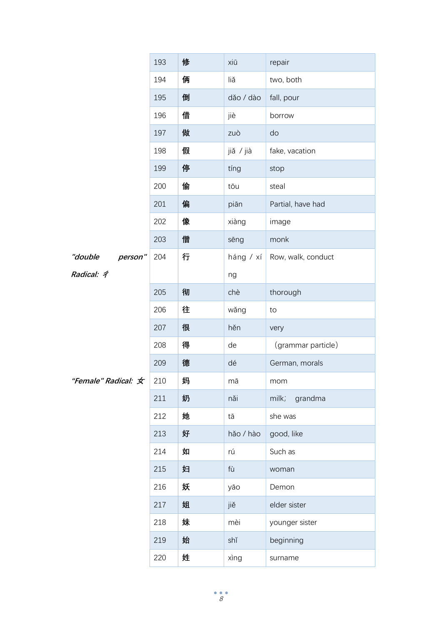|                     | 193 | 修 | xiū       | repair             |
|---------------------|-----|---|-----------|--------------------|
|                     | 194 | 俩 | liǎ       | two, both          |
|                     | 195 | 倒 | dǎo / dào | fall, pour         |
|                     | 196 | 借 | jiè       | borrow             |
|                     | 197 | 做 | zuò       | do                 |
|                     | 198 | 假 | jiǎ / jià | fake, vacation     |
|                     | 199 | 停 | tíng      | stop               |
|                     | 200 | 偷 | tōu       | steal              |
|                     | 201 | 偏 | piān      | Partial, have had  |
|                     | 202 | 像 | xiàng     | image              |
|                     | 203 | 僧 | sēng      | monk               |
| "double<br>person"  | 204 | 行 | háng / xí | Row, walk, conduct |
| Radical: 4          |     |   | ng        |                    |
|                     | 205 | 彻 | chè       | thorough           |
|                     | 206 | 往 | wǎng      | to                 |
|                     | 207 | 很 | hěn       | very               |
|                     | 208 | 得 | de        | (grammar particle) |
|                     | 209 | 德 | dé        | German, morals     |
| "Female" Radical: 女 | 210 | 妈 | mā        | mom                |
|                     | 211 | 奶 | nǎi       | milk;<br>grandma   |
|                     | 212 | 她 | tā        | she was            |
|                     | 213 | 好 | hǎo / hào | good, like         |
|                     | 214 | 如 | rú        | Such as            |
|                     | 215 | 妇 | fù        | woman              |
|                     | 216 | 妖 | yāo       | Demon              |
|                     | 217 | 姐 | jiě       | elder sister       |
|                     | 218 | 妹 | mèi       | younger sister     |
|                     | 219 | 始 | shǐ       | beginning          |
|                     | 220 | 姓 | xìng      | surname            |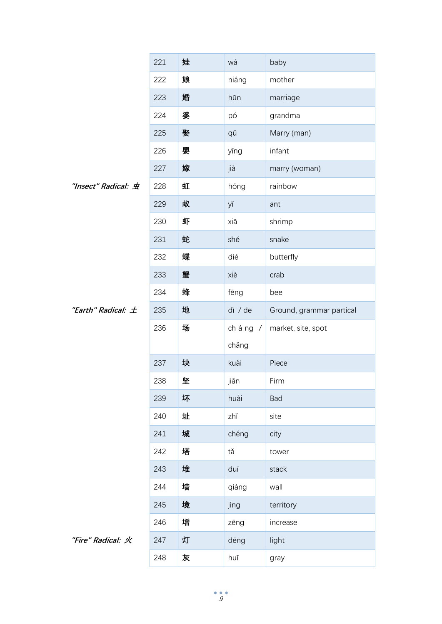|                        | 221 | 娃 | wá      | baby                     |
|------------------------|-----|---|---------|--------------------------|
|                        | 222 | 娘 | niáng   | mother                   |
|                        | 223 | 婚 | hūn     | marriage                 |
|                        | 224 | 婆 | pó      | grandma                  |
|                        | 225 | 娶 | qǔ      | Marry (man)              |
|                        | 226 | 婴 | yīng    | infant                   |
|                        | 227 | 嫁 | jià     | marry (woman)            |
| "Insect" Radical: 虫    | 228 | 虹 | hóng    | rainbow                  |
|                        | 229 | 蚁 | yĭ      | ant                      |
|                        | 230 | 虾 | xiā     | shrimp                   |
|                        | 231 | 蛇 | shé     | snake                    |
|                        | 232 | 蝶 | dié     | butterfly                |
|                        | 233 | 蟹 | xiè     | crab                     |
|                        | 234 | 蜂 | fēng    | bee                      |
| "Earth" Radical: $\pm$ | 235 | 地 | dì / de | Ground, grammar partical |
|                        | 236 | 场 | cháng / | market, site, spot       |
|                        |     |   | chǎng   |                          |
|                        | 237 | 块 | kuài    | Piece                    |
|                        | 238 | 型 | jiān    | Firm                     |
|                        | 239 | 坏 | huài    | Bad                      |
|                        | 240 | 址 | zhǐ     | site                     |
|                        | 241 | 城 | chéng   | city                     |
|                        | 242 | 塔 | tǎ      | tower                    |
|                        | 243 | 堆 | duī     | stack                    |
|                        | 244 | 墙 | qiáng   | wall                     |
|                        | 245 | 境 | jìng    | territory                |
|                        | 246 | 增 | zēng    | increase                 |
| "Fire" Radical: 火      | 247 | 灯 | dēng    | light                    |
|                        | 248 | 灰 | huī     | gray                     |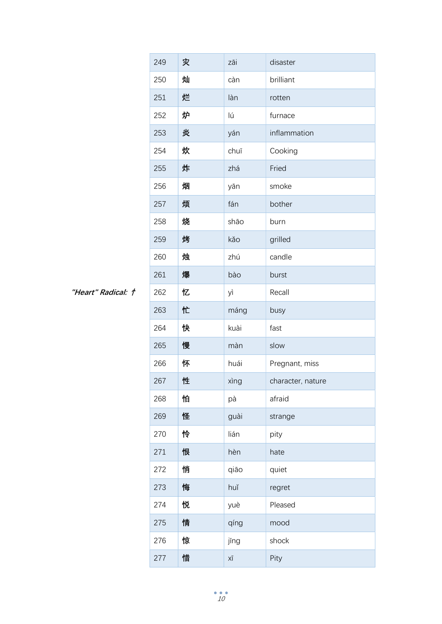|                    | 249 | 灾 | zāi  | disaster          |
|--------------------|-----|---|------|-------------------|
|                    | 250 | 灿 | càn  | brilliant         |
|                    | 251 | 烂 | làn  | rotten            |
|                    | 252 | 炉 | lú   | furnace           |
|                    | 253 | 炎 | yán  | inflammation      |
|                    | 254 | 炊 | chuī | Cooking           |
|                    | 255 | 炸 | zhá  | Fried             |
|                    | 256 | 烟 | yān  | smoke             |
|                    | 257 | 烦 | fán  | bother            |
|                    | 258 | 烧 | shāo | burn              |
|                    | 259 | 烤 | kǎo  | grilled           |
|                    | 260 | 烛 | zhú  | candle            |
|                    | 261 | 爆 | bào  | burst             |
| "Heart" Radical: † | 262 | 忆 | yì   | Recall            |
|                    | 263 | 忙 | máng | busy              |
|                    | 264 | 快 | kuài | fast              |
|                    | 265 | 慢 | màn  | slow              |
|                    | 266 | 怀 | huái | Pregnant, miss    |
|                    | 267 | 性 | xìng | character, nature |
|                    | 268 | 怕 | pà   | afraid            |
|                    | 269 | 怪 | guài | strange           |
|                    | 270 | 怜 | lián | pity              |
|                    | 271 | 恨 | hèn  | hate              |
|                    | 272 | 悄 | qiāo | quiet             |
|                    | 273 | 悔 | huǐ  | regret            |
|                    | 274 | 悦 | yuè  | Pleased           |
|                    | 275 | 情 | qíng | mood              |
|                    | 276 | 惊 | jīng | shock             |
|                    | 277 | 惜 | ΧĪ   | Pity              |

"Heart" Radical: ↑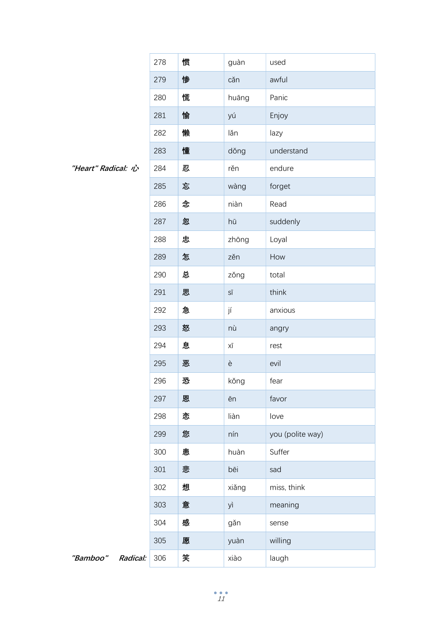|                      | 278 | 惯 | guàn                               | used             |
|----------------------|-----|---|------------------------------------|------------------|
|                      | 279 | 惨 | căn                                | awful            |
|                      | 280 | 慌 | huāng                              | Panic            |
|                      | 281 | 愉 | yú                                 | Enjoy            |
|                      | 282 | 懒 | lăn                                | lazy             |
|                      | 283 | 懂 | dǒng                               | understand       |
| "Heart" Radical: 心   | 284 | 忍 | rěn                                | endure           |
|                      | 285 | 忘 | wàng                               | forget           |
|                      | 286 | 念 | niàn                               | Read             |
|                      | 287 | 忽 | hū                                 | suddenly         |
|                      | 288 | 忠 | zhōng                              | Loyal            |
|                      | 289 | 怎 | zěn                                | How              |
|                      | 290 | 总 | zǒng                               | total            |
|                      | 291 | 思 | $\mathsf{S} \overline{\mathsf{I}}$ | think            |
|                      | 292 | 急 | jí                                 | anxious          |
|                      | 293 | 怒 | nù                                 | angry            |
|                      | 294 | 息 | ΧĪ                                 | rest             |
|                      | 295 | 恶 | è                                  | evil             |
|                      | 296 | 恐 | kǒng                               | fear             |
|                      | 297 | 恩 | ēn                                 | favor            |
|                      | 298 | 恋 | liàn                               | love             |
|                      | 299 | 您 | nín                                | you (polite way) |
|                      | 300 | 患 | huàn                               | Suffer           |
|                      | 301 | 悲 | bēi                                | sad              |
|                      | 302 | 想 | xiǎng                              | miss, think      |
|                      | 303 | 意 | yì                                 | meaning          |
|                      | 304 | 感 | gǎn                                | sense            |
|                      | 305 | 愿 | yuàn                               | willing          |
| "Bamboo"<br>Radical: | 306 | 笑 | xiào                               | laugh            |

"Heart" Radical: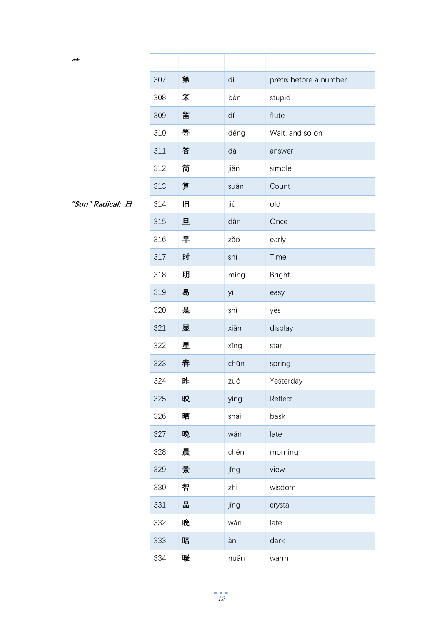| イイ               |     |   |      |                        |
|------------------|-----|---|------|------------------------|
|                  | 307 | 第 | dì   | prefix before a number |
|                  | 308 | 笨 | bèn  | stupid                 |
|                  | 309 | 笛 | dí   | flute                  |
|                  | 310 | 等 | děng | Wait, and so on        |
|                  | 311 | 答 | dá   | answer                 |
|                  | 312 | 简 | jiǎn | simple                 |
|                  | 313 | 算 | suàn | Count                  |
| "Sun" Radical: 日 | 314 | 旧 | jiù  | old                    |
|                  | 315 | 旦 | dàn  | Once                   |
|                  | 316 | 早 | zǎo  | early                  |
|                  | 317 | 时 | shí  | Time                   |
|                  | 318 | 明 | míng | <b>Bright</b>          |
|                  | 319 | 易 | yì   | easy                   |
|                  | 320 | 是 | shì  | yes                    |
|                  | 321 | 平 | xiǎn | display                |
|                  | 322 | 星 | xīng | star                   |
|                  | 323 | 春 | chūn | spring                 |
|                  | 324 | 昨 | zuó  | Yesterday              |
|                  | 325 | 映 | yìng | Reflect                |
|                  | 326 | 晒 | shài | bask                   |
|                  | 327 | 晚 | wǎn  | late                   |
|                  | 328 | 晨 | chén | morning                |
|                  | 329 | 景 | jǐng | view                   |
|                  | 330 | 智 | zhì  | wisdom                 |
|                  | 331 | 晶 | jīng | crystal                |
|                  | 332 | 晚 | wǎn  | late                   |
|                  | 333 | 暗 | àn   | dark                   |
|                  | 334 | 暖 | nuǎn | warm                   |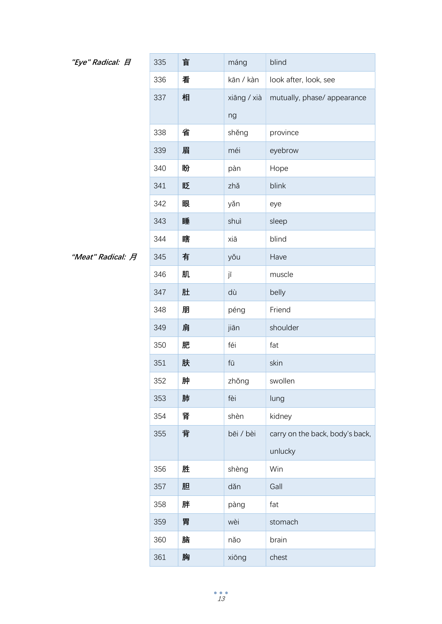## "Eye" Radical: 日

| "Eye" Radical: 日  | 335 | 盲 | máng        | blind                           |
|-------------------|-----|---|-------------|---------------------------------|
|                   | 336 | 看 | kān / kàn   | look after, look, see           |
|                   | 337 | 相 | xiāng / xià | mutually, phase/ appearance     |
|                   |     |   | ng          |                                 |
|                   | 338 | 省 | shěng       | province                        |
|                   | 339 | 眉 | méi         | eyebrow                         |
|                   | 340 | 盼 | pàn         | Hope                            |
|                   | 341 | 眨 | zhǎ         | blink                           |
|                   | 342 | 眼 | yǎn         | eye                             |
|                   | 343 | 睡 | shuì        | sleep                           |
|                   | 344 | 瞎 | xiā         | blind                           |
| "Meat" Radical: 月 | 345 | 有 | yǒu         | Have                            |
|                   | 346 | 肌 | jī          | muscle                          |
|                   | 347 | 肚 | dù          | belly                           |
|                   | 348 | 朋 | péng        | Friend                          |
|                   | 349 | 肩 | jiān        | shoulder                        |
|                   | 350 | 肥 | féi         | fat                             |
|                   | 351 | 肤 | fū          | skin                            |
|                   | 352 | 肿 | zhǒng       | swollen                         |
|                   | 353 | 肺 | fèi         | lung                            |
|                   | 354 | 肾 | shèn        | kidney                          |
|                   | 355 | 背 | bēi / bèi   | carry on the back, body's back, |
|                   |     |   |             | unlucky                         |
|                   | 356 | 胜 | shèng       | Win                             |
|                   | 357 | 胆 | dǎn         | Gall                            |
|                   | 358 | 胖 | pàng        | fat                             |
|                   | 359 | 胃 | wèi         | stomach                         |
|                   | 360 | 脑 | nǎo         | brain                           |
|                   | 361 | 胸 | xiōng       | chest                           |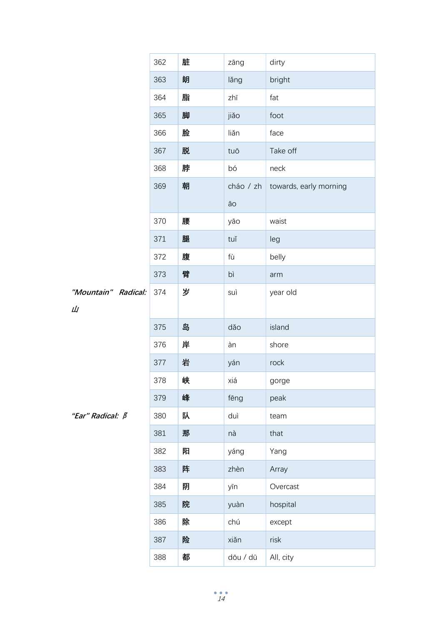|                         | 362 | 脏 | zāng      | dirty                  |
|-------------------------|-----|---|-----------|------------------------|
|                         | 363 | 朗 | lǎng      | bright                 |
|                         | 364 | 脂 | zhī       | fat                    |
|                         | 365 | 脚 | jiǎo      | foot                   |
|                         | 366 | 脸 | liǎn      | face                   |
|                         | 367 | 脱 | tuō       | Take off               |
|                         | 368 | 脖 | bó        | neck                   |
|                         | 369 | 朝 | cháo / zh | towards, early morning |
|                         |     |   | āо        |                        |
|                         | 370 | 腰 | yāo       | waist                  |
|                         | 371 | 腿 | tuĭ       | leg                    |
|                         | 372 | 腹 | fù        | belly                  |
|                         | 373 | 臂 | bì        | arm                    |
| "Mountain" Radical:     | 374 | 岁 | suì       | year old               |
| Щ                       |     |   |           |                        |
|                         | 375 | 岛 | dǎo       | island                 |
|                         | 376 | 岸 | àn        | shore                  |
|                         | 377 | 岩 | yán       | rock                   |
|                         | 378 | 峡 | xiá       | gorge                  |
|                         | 379 | 峰 | fēng      | peak                   |
| "Ear" Radical: <b>B</b> | 380 | 队 | duì       | team                   |
|                         | 381 | 那 | nà        | that                   |
|                         | 382 | 阳 | yáng      | Yang                   |
|                         | 383 | 阵 | zhèn      | Array                  |
|                         | 384 | 阴 | yīn       | Overcast               |
|                         | 385 | 院 | yuàn      | hospital               |
|                         | 386 | 除 | chú       | except                 |
|                         | 387 | 险 | xiǎn      | risk                   |
|                         | 388 | 都 | dōu / dū  | All, city              |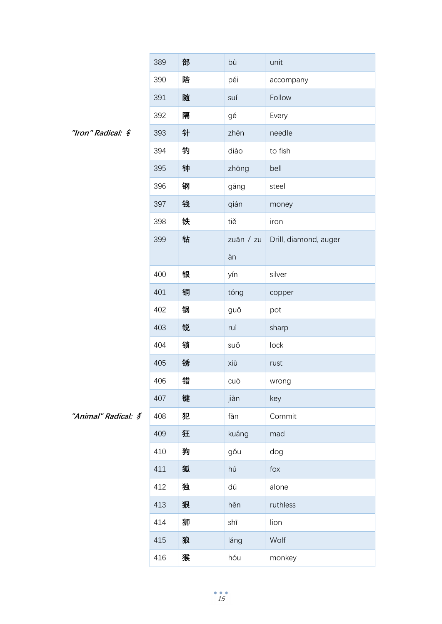|                         | 389 | 部 | bù        | unit                  |
|-------------------------|-----|---|-----------|-----------------------|
|                         | 390 | 陪 | péi       | accompany             |
|                         | 391 | 随 | suí       | Follow                |
|                         | 392 | 隔 | gé        | Every                 |
| "Iron" Radical: $\oint$ | 393 | 针 | zhēn      | needle                |
|                         | 394 | 钓 | diào      | to fish               |
|                         | 395 | 钟 | zhōng     | bell                  |
|                         | 396 | 钢 | gāng      | steel                 |
|                         | 397 | 钱 | qián      | money                 |
|                         | 398 | 铁 | tiě       | iron                  |
|                         | 399 | 钻 | zuān / zu | Drill, diamond, auger |
|                         |     |   | àn        |                       |
|                         | 400 | 银 | yín       | silver                |
|                         | 401 | 铜 | tóng      | copper                |
|                         | 402 | 锅 | guō       | pot                   |
|                         | 403 | 锐 | ruì       | sharp                 |
|                         | 404 | 锁 | suǒ       | lock                  |
|                         | 405 | 锈 | xiù       | rust                  |
|                         | 406 | 错 | cuò       | wrong                 |
|                         | 407 | 键 | jiàn      | key                   |
| "Animal" Radical: 3     | 408 | 犯 | fàn       | Commit                |
|                         | 409 | 狂 | kuáng     | mad                   |
|                         | 410 | 狗 | gǒu       | dog                   |
|                         | 411 | 狐 | hú        | fox                   |
|                         | 412 | 独 | dú        | alone                 |
|                         | 413 | 狠 | hěn       | ruthless              |
|                         | 414 | 狮 | shī       | lion                  |
|                         | 415 | 狼 | láng      | Wolf                  |
|                         | 416 | 猴 | hóu       | monkey                |